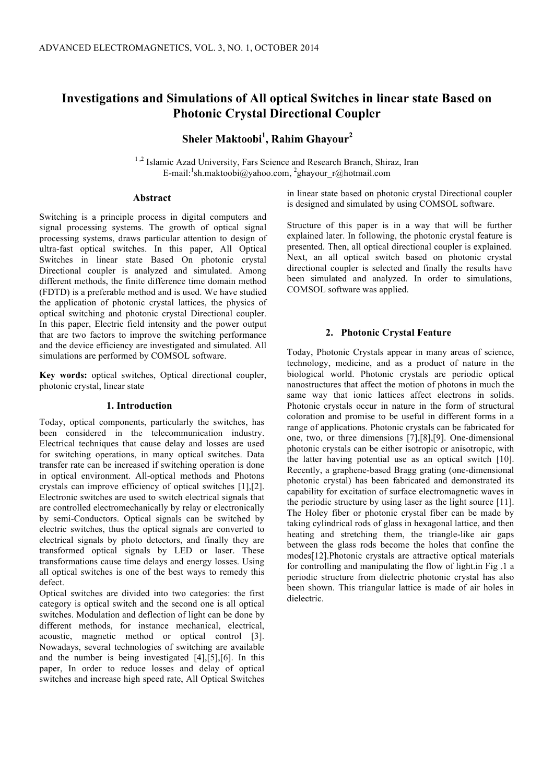# **Investigations and Simulations of All optical Switches in linear state Based on Photonic Crystal Directional Coupler**

Sheler Maktoobi<sup>1</sup>, Rahim Ghayour<sup>2</sup>

<sup>1,2</sup> Islamic Azad University, Fars Science and Research Branch, Shiraz, Iran E-mail:<sup>1</sup>sh.maktoobi@yahoo.com, <sup>2</sup>ghayour\_r@hotmail.com

### **Abstract**

Switching is a principle process in digital computers and signal processing systems. The growth of optical signal processing systems, draws particular attention to design of ultra-fast optical switches. In this paper, All Optical Switches in linear state Based On photonic crystal Directional coupler is analyzed and simulated. Among different methods, the finite difference time domain method (FDTD) is a preferable method and is used. We have studied the application of photonic crystal lattices, the physics of optical switching and photonic crystal Directional coupler. In this paper, Electric field intensity and the power output that are two factors to improve the switching performance and the device efficiency are investigated and simulated. All simulations are performed by COMSOL software.

**Key words:** optical switches, Optical directional coupler, photonic crystal, linear state

#### **1. Introduction**

Today, optical components, particularly the switches, has been considered in the telecommunication industry. Electrical techniques that cause delay and losses are used for switching operations, in many optical switches. Data transfer rate can be increased if switching operation is done in optical environment. All-optical methods and Photons crystals can improve efficiency of optical switches [1],[2]. Electronic switches are used to switch electrical signals that are controlled electromechanically by relay or electronically by semi-Conductors. Optical signals can be switched by electric switches, thus the optical signals are converted to electrical signals by photo detectors, and finally they are transformed optical signals by LED or laser. These transformations cause time delays and energy losses. Using all optical switches is one of the best ways to remedy this defect.

Optical switches are divided into two categories: the first category is optical switch and the second one is all optical switches. Modulation and deflection of light can be done by different methods, for instance mechanical, electrical, acoustic, magnetic method or optical control [3]. Nowadays, several technologies of switching are available and the number is being investigated [4],[5],[6]. In this paper, In order to reduce losses and delay of optical switches and increase high speed rate, All Optical Switches in linear state based on photonic crystal Directional coupler is designed and simulated by using COMSOL software.

Structure of this paper is in a way that will be further explained later. In following, the photonic crystal feature is presented. Then, all optical directional coupler is explained. Next, an all optical switch based on photonic crystal directional coupler is selected and finally the results have been simulated and analyzed. In order to simulations, COMSOL software was applied.

### **2. Photonic Crystal Feature**

Today, Photonic Crystals appear in many areas of science, technology, medicine, and as a product of nature in the biological world. Photonic crystals are periodic optical nanostructures that affect the motion of photons in much the same way that ionic lattices affect electrons in solids. Photonic crystals occur in nature in the form of structural coloration and promise to be useful in different forms in a range of applications. Photonic crystals can be fabricated for one, two, or three dimensions [7],[8],[9]. One-dimensional photonic crystals can be either isotropic or anisotropic, with the latter having potential use as an optical switch [10]. Recently, a graphene-based Bragg grating (one-dimensional photonic crystal) has been fabricated and demonstrated its capability for excitation of surface electromagnetic waves in the periodic structure by using laser as the light source [11]. The Holey fiber or photonic crystal fiber can be made by taking cylindrical rods of glass in hexagonal lattice, and then heating and stretching them, the triangle-like air gaps between the glass rods become the holes that confine the modes[12].Photonic crystals are attractive optical materials for controlling and manipulating the flow of light.in Fig .1 a periodic structure from dielectric photonic crystal has also been shown. This triangular lattice is made of air holes in dielectric.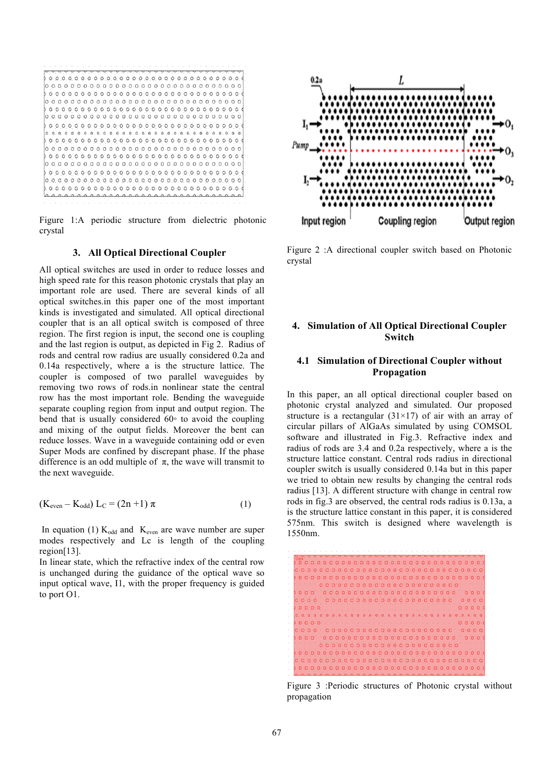

Figure 1:A periodic structure from dielectric photonic crystal

### **3. All Optical Directional Coupler**

All optical switches are used in order to reduce losses and high speed rate for this reason photonic crystals that play an important role are used. There are several kinds of all optical switches.in this paper one of the most important kinds is investigated and simulated. All optical directional coupler that is an all optical switch is composed of three region. The first region is input, the second one is coupling and the last region is output, as depicted in Fig 2. Radius of rods and central row radius are usually considered 0.2a and 0.14a respectively, where a is the structure lattice. The coupler is composed of two parallel waveguides by removing two rows of rods.in nonlinear state the central row has the most important role. Bending the waveguide separate coupling region from input and output region. The bend that is usually considered 60◦ to avoid the coupling and mixing of the output fields. Moreover the bent can reduce losses. Wave in a waveguide containing odd or even Super Mods are confined by discrepant phase. If the phase difference is an odd multiple of  $\pi$ , the wave will transmit to the next waveguide.

$$
(K_{even} - K_{odd}) L_C = (2n + 1) \pi
$$
 (1)

In equation (1)  $K_{\text{odd}}$  and  $K_{\text{even}}$  are wave number are super modes respectively and Lc is length of the coupling region[13].

In linear state, which the refractive index of the central row is unchanged during the guidance of the optical wave so input optical wave, I1, with the proper frequency is guided to port O1.



Figure 2 :A directional coupler switch based on Photonic crystal

### **4. Simulation of All Optical Directional Coupler Switch**

# **4.1 Simulation of Directional Coupler without Propagation**

In this paper, an all optical directional coupler based on photonic crystal analyzed and simulated. Our proposed structure is a rectangular  $(31\times17)$  of air with an array of circular pillars of AlGaAs simulated by using COMSOL software and illustrated in Fig.3. Refractive index and radius of rods are 3.4 and 0.2a respectively, where a is the structure lattice constant. Central rods radius in directional coupler switch is usually considered 0.14a but in this paper we tried to obtain new results by changing the central rods radius [13]. A different structure with change in central row rods in fig.3 are observed, the central rods radius is 0.13a, a is the structure lattice constant in this paper, it is considered 575nm. This switch is designed where wavelength is 1550nm.



Figure 3 :Periodic structures of Photonic crystal without propagation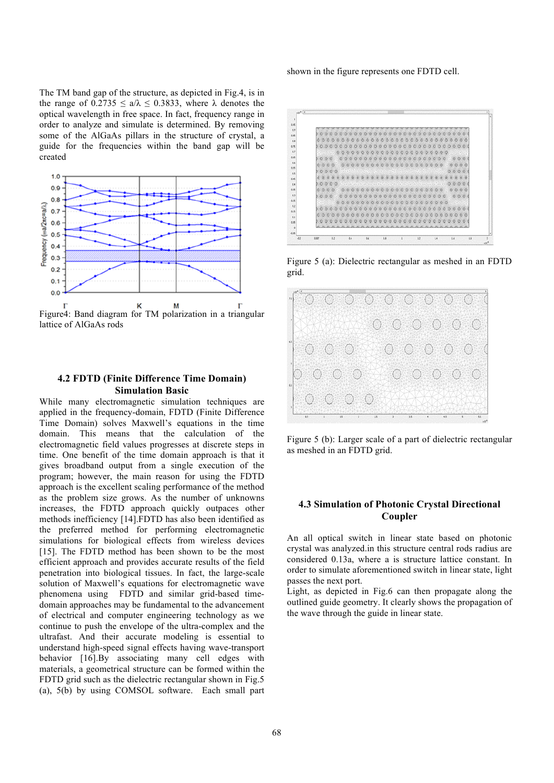The TM band gap of the structure, as depicted in Fig.4, is in the range of  $0.2735 \le a/\lambda \le 0.3833$ , where  $\lambda$  denotes the optical wavelength in free space. In fact, frequency range in order to analyze and simulate is determined. By removing some of the AlGaAs pillars in the structure of crystal, a guide for the frequencies within the band gap will be created



Figure4: Band diagram for TM polarization in a triangular lattice of AlGaAs rods

### **4.2 FDTD (Finite Difference Time Domain) Simulation Basic**

While many electromagnetic simulation techniques are applied in the frequency-domain, FDTD (Finite Difference Time Domain) solves Maxwell's equations in the time domain. This means that the calculation of the electromagnetic field values progresses at discrete steps in time. One benefit of the time domain approach is that it gives broadband output from a single execution of the program; however, the main reason for using the FDTD approach is the excellent scaling performance of the method as the problem size grows. As the number of unknowns increases, the FDTD approach quickly outpaces other methods inefficiency [14].FDTD has also been identified as the preferred method for performing electromagnetic simulations for biological effects from wireless devices [15]. The FDTD method has been shown to be the most efficient approach and provides accurate results of the field penetration into biological tissues. In fact, the large-scale solution of Maxwell's equations for electromagnetic wave phenomena using FDTD and similar grid-based timedomain approaches may be fundamental to the advancement of electrical and computer engineering technology as we continue to push the envelope of the ultra-complex and the ultrafast. And their accurate modeling is essential to understand high-speed signal effects having wave-transport behavior [16].By associating many cell edges with materials, a geometrical structure can be formed within the FDTD grid such as the dielectric rectangular shown in Fig.5 (a), 5(b) by using COMSOL software. Each small part

shown in the figure represents one FDTD cell.



Figure 5 (a): Dielectric rectangular as meshed in an FDTD grid.



Figure 5 (b): Larger scale of a part of dielectric rectangular as meshed in an FDTD grid.

# **4.3 Simulation of Photonic Crystal Directional Coupler**

An all optical switch in linear state based on photonic crystal was analyzed.in this structure central rods radius are considered 0.13a, where a is structure lattice constant. In order to simulate aforementioned switch in linear state, light passes the next port.

Light, as depicted in Fig.6 can then propagate along the outlined guide geometry. It clearly shows the propagation of the wave through the guide in linear state.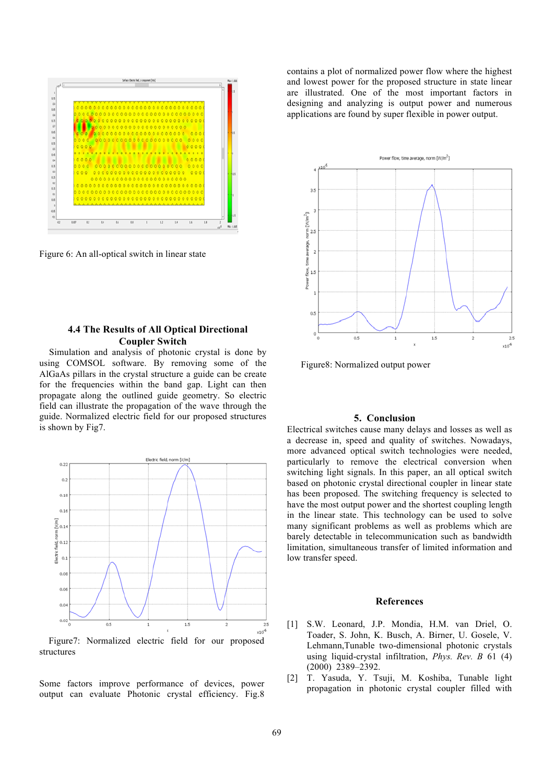

Figure 6: An all-optical switch in linear state

### **4.4 The Results of All Optical Directional Coupler Switch**

Simulation and analysis of photonic crystal is done by using COMSOL software. By removing some of the AlGaAs pillars in the crystal structure a guide can be create for the frequencies within the band gap. Light can then propagate along the outlined guide geometry. So electric field can illustrate the propagation of the wave through the guide. Normalized electric field for our proposed structures is shown by Fig7.



 Figure7: Normalized electric field for our proposed structures

Some factors improve performance of devices, power output can evaluate Photonic crystal efficiency. Fig.8 contains a plot of normalized power flow where the highest and lowest power for the proposed structure in state linear are illustrated. One of the most important factors in designing and analyzing is output power and numerous applications are found by super flexible in power output.



Figure8: Normalized output power

### **5. Conclusion**

Electrical switches cause many delays and losses as well as a decrease in, speed and quality of switches. Nowadays, more advanced optical switch technologies were needed, particularly to remove the electrical conversion when switching light signals. In this paper, an all optical switch based on photonic crystal directional coupler in linear state has been proposed. The switching frequency is selected to have the most output power and the shortest coupling length in the linear state. This technology can be used to solve many significant problems as well as problems which are barely detectable in telecommunication such as bandwidth limitation, simultaneous transfer of limited information and low transfer speed.

#### **References**

- [1] S.W. Leonard, J.P. Mondia, H.M. van Driel, O. Toader, S. John, K. Busch, A. Birner, U. Gosele, V. Lehmann,Tunable two-dimensional photonic crystals using liquid-crystal infiltration, *Phys. Rev. B* 61 (4) (2000) 2389–2392.
- [2] T. Yasuda, Y. Tsuji, M. Koshiba, Tunable light propagation in photonic crystal coupler filled with